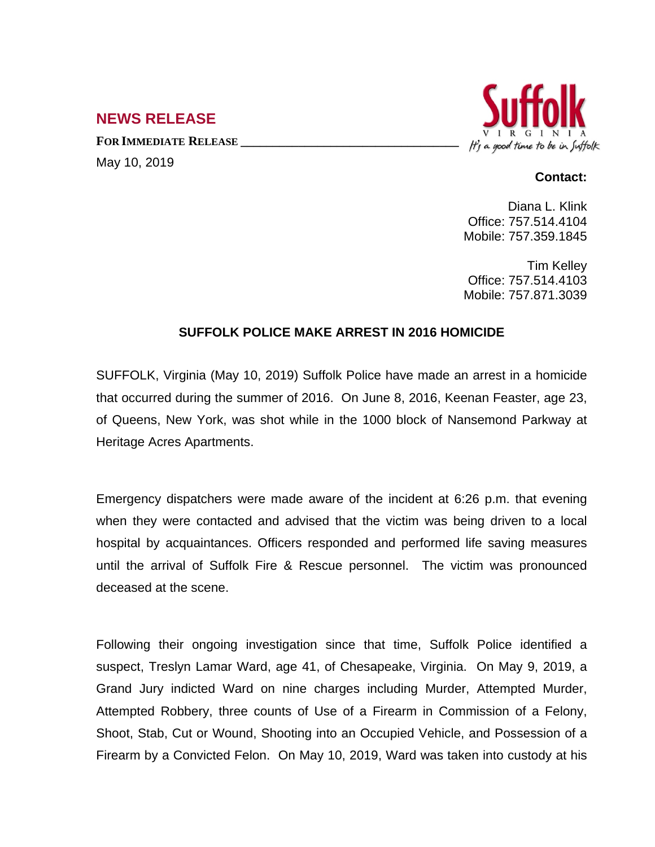## **NEWS RELEASE**

**FOR IMMEDIATE RELEASE \_\_\_\_\_\_\_\_\_\_\_\_\_\_\_\_\_\_\_\_\_\_\_\_\_\_\_\_\_\_\_\_\_\_**

May 10, 2019



## **Contact:**

Diana L. Klink Office: 757.514.4104 Mobile: 757.359.1845

Tim Kelley Office: 757.514.4103 Mobile: 757.871.3039

## **SUFFOLK POLICE MAKE ARREST IN 2016 HOMICIDE**

SUFFOLK, Virginia (May 10, 2019) Suffolk Police have made an arrest in a homicide that occurred during the summer of 2016. On June 8, 2016, Keenan Feaster, age 23, of Queens, New York, was shot while in the 1000 block of Nansemond Parkway at Heritage Acres Apartments.

Emergency dispatchers were made aware of the incident at 6:26 p.m. that evening when they were contacted and advised that the victim was being driven to a local hospital by acquaintances. Officers responded and performed life saving measures until the arrival of Suffolk Fire & Rescue personnel. The victim was pronounced deceased at the scene.

Following their ongoing investigation since that time, Suffolk Police identified a suspect, Treslyn Lamar Ward, age 41, of Chesapeake, Virginia. On May 9, 2019, a Grand Jury indicted Ward on nine charges including Murder, Attempted Murder, Attempted Robbery, three counts of Use of a Firearm in Commission of a Felony, Shoot, Stab, Cut or Wound, Shooting into an Occupied Vehicle, and Possession of a Firearm by a Convicted Felon. On May 10, 2019, Ward was taken into custody at his